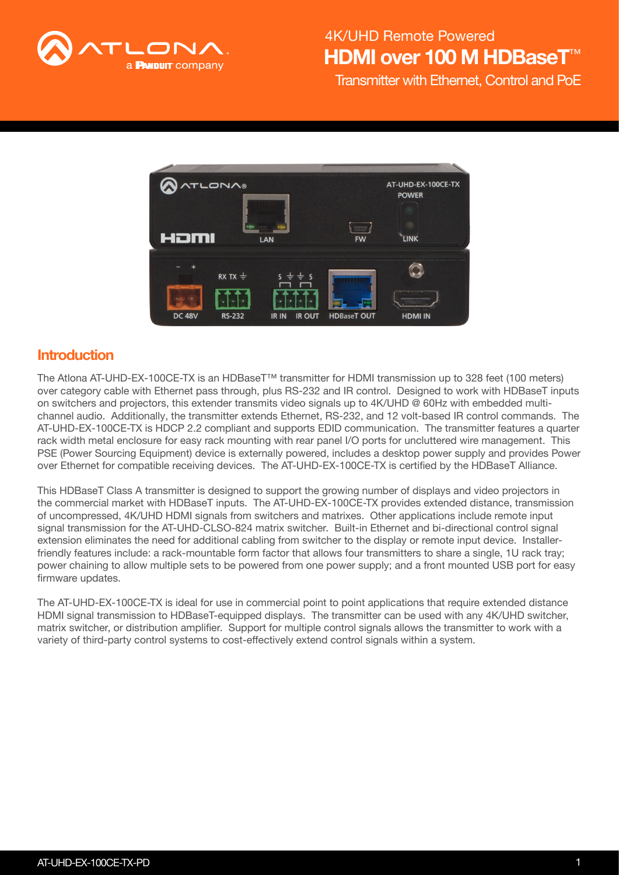

## HDMI over 100 M HDBaseT 4K/UHD Remote Powered

Transmitter with Ethernet, Control and PoE



### **Introduction**

The Atlona AT-UHD-EX-100CE-TX is an HDBaseT™ transmitter for HDMI transmission up to 328 feet (100 meters) over category cable with Ethernet pass through, plus RS-232 and IR control. Designed to work with HDBaseT inputs on switchers and projectors, this extender transmits video signals up to 4K/UHD @ 60Hz with embedded multichannel audio. Additionally, the transmitter extends Ethernet, RS-232, and 12 volt-based IR control commands. The AT-UHD-EX-100CE-TX is HDCP 2.2 compliant and supports EDID communication. The transmitter features a quarter rack width metal enclosure for easy rack mounting with rear panel I/O ports for uncluttered wire management. This PSE (Power Sourcing Equipment) device is externally powered, includes a desktop power supply and provides Power over Ethernet for compatible receiving devices. The AT-UHD-EX-100CE-TX is certified by the HDBaseT Alliance.

This HDBaseT Class A transmitter is designed to support the growing number of displays and video projectors in the commercial market with HDBaseT inputs. The AT-UHD-EX-100CE-TX provides extended distance, transmission of uncompressed, 4K/UHD HDMI signals from switchers and matrixes. Other applications include remote input signal transmission for the AT-UHD-CLSO-824 matrix switcher. Built-in Ethernet and bi-directional control signal extension eliminates the need for additional cabling from switcher to the display or remote input device. Installerfriendly features include: a rack-mountable form factor that allows four transmitters to share a single, 1U rack tray; power chaining to allow multiple sets to be powered from one power supply; and a front mounted USB port for easy firmware updates.

The AT-UHD-EX-100CE-TX is ideal for use in commercial point to point applications that require extended distance HDMI signal transmission to HDBaseT-equipped displays. The transmitter can be used with any 4K/UHD switcher, matrix switcher, or distribution amplifier. Support for multiple control signals allows the transmitter to work with a variety of third-party control systems to cost-effectively extend control signals within a system.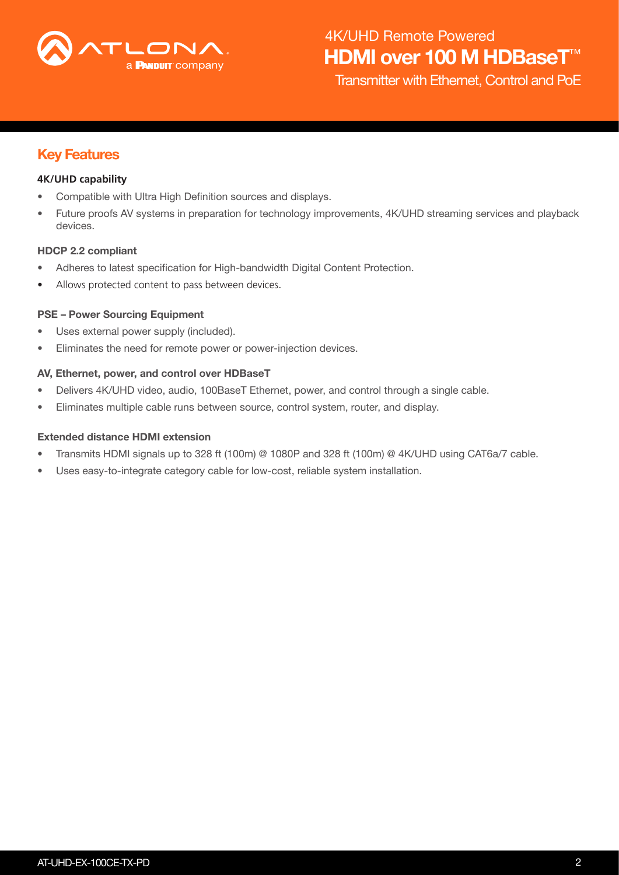

Transmitter with Ethernet, Control and PoE

### Key Features

#### **4K/UHD capability**

- Compatible with Ultra High Definition sources and displays.
- Future proofs AV systems in preparation for technology improvements, 4K/UHD streaming services and playback devices.

#### HDCP 2.2 compliant

- Adheres to latest specification for High-bandwidth Digital Content Protection.
- Allows protected content to pass between devices.

#### PSE – Power Sourcing Equipment

- Uses external power supply (included).
- Eliminates the need for remote power or power-injection devices.

#### AV, Ethernet, power, and control over HDBaseT

- Delivers 4K/UHD video, audio, 100BaseT Ethernet, power, and control through a single cable.
- Eliminates multiple cable runs between source, control system, router, and display.

#### Extended distance HDMI extension

- Transmits HDMI signals up to 328 ft (100m) @ 1080P and 328 ft (100m) @ 4K/UHD using CAT6a/7 cable.
- Uses easy-to-integrate category cable for low-cost, reliable system installation.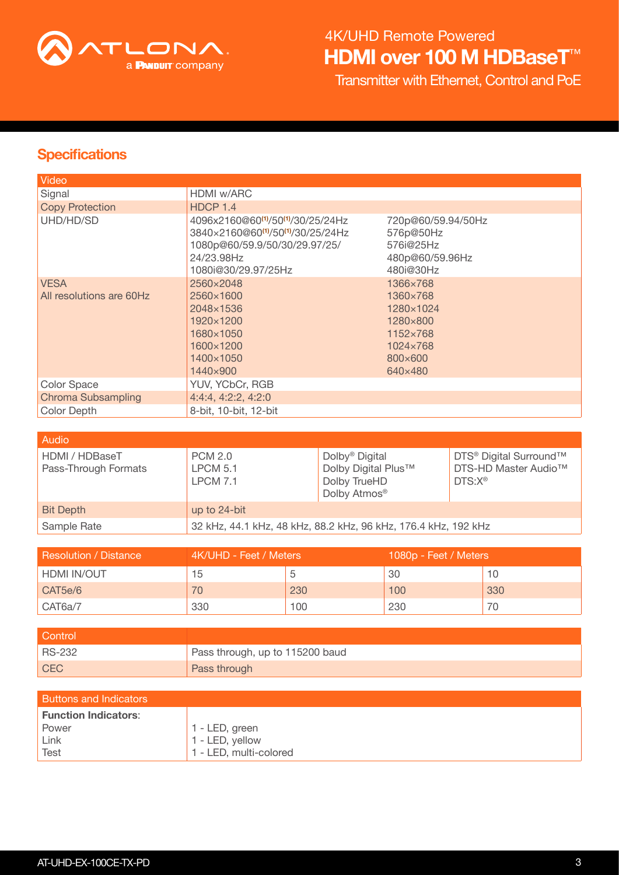

# HDMI over 100 M HDBaseT<sup>™</sup> 4K/UHD Remote Powered

Transmitter with Ethernet, Control and PoE

## **Specifications**

| Video                     |                                                                                                                                                                                                |                                                                              |
|---------------------------|------------------------------------------------------------------------------------------------------------------------------------------------------------------------------------------------|------------------------------------------------------------------------------|
| Signal                    | HDMI w/ARC                                                                                                                                                                                     |                                                                              |
| <b>Copy Protection</b>    | HDCP 1.4                                                                                                                                                                                       |                                                                              |
| UHD/HD/SD                 | 4096x2160@60 <sup>(1)</sup> /50 <sup>(1)</sup> /30/25/24Hz<br>3840×2160@60 <sup>(1)</sup> /50 <sup>(1)</sup> /30/25/24Hz<br>1080p@60/59.9/50/30/29.97/25/<br>24/23.98Hz<br>1080i@30/29.97/25Hz | 720p@60/59.94/50Hz<br>576p@50Hz<br>576i@25Hz<br>480p@60/59.96Hz<br>480i@30Hz |
| <b>VESA</b>               | 2560×2048                                                                                                                                                                                      | 1366×768                                                                     |
| All resolutions are 60Hz  | 2560×1600                                                                                                                                                                                      | 1360×768                                                                     |
|                           | 2048×1536                                                                                                                                                                                      | 1280×1024                                                                    |
|                           | 1920×1200                                                                                                                                                                                      | 1280×800                                                                     |
|                           | 1680×1050                                                                                                                                                                                      | 1152×768                                                                     |
|                           | 1600×1200                                                                                                                                                                                      | 1024×768                                                                     |
|                           | 1400×1050                                                                                                                                                                                      | 800×600                                                                      |
|                           | 1440×900                                                                                                                                                                                       | 640×480                                                                      |
| Color Space               | YUV, YCbCr, RGB                                                                                                                                                                                |                                                                              |
| <b>Chroma Subsampling</b> | 4:4:4, 4:2:2, 4:2:0                                                                                                                                                                            |                                                                              |
| Color Depth               | 8-bit, 10-bit, 12-bit                                                                                                                                                                          |                                                                              |

| Audio                                  |                                               |                                                                                               |                                                                                                   |
|----------------------------------------|-----------------------------------------------|-----------------------------------------------------------------------------------------------|---------------------------------------------------------------------------------------------------|
| HDMI / HDBaseT<br>Pass-Through Formats | <b>PCM 2.0</b><br><b>LPCM 5.1</b><br>LPCM 7.1 | Dolby <sup>®</sup> Digital<br>Dolby Digital Plus™<br>Dolby TrueHD<br>Dolby Atmos <sup>®</sup> | DTS <sup>®</sup> Digital Surround™<br>DTS-HD Master Audio <sup>™</sup><br>$DTS: X^{\circledcirc}$ |
| <b>Bit Depth</b>                       | up to 24-bit                                  |                                                                                               |                                                                                                   |
| Sample Rate                            |                                               | 32 kHz, 44.1 kHz, 48 kHz, 88.2 kHz, 96 kHz, 176.4 kHz, 192 kHz                                |                                                                                                   |

| Resolution / Distance | 4K/UHD - Feet / Meters |     | 1080p - Feet / Meters |     |
|-----------------------|------------------------|-----|-----------------------|-----|
| HDMI IN/OUT           | 15                     |     | 30                    |     |
| CAT5e/6               | 70.                    | 230 | 100                   | 330 |
| CAT6a/7               | 330                    | 100 | 230                   |     |

| Control       |                                 |
|---------------|---------------------------------|
| <b>RS-232</b> | Pass through, up to 115200 baud |
| <b>CEC</b>    | Pass through                    |

| <b>Buttons and Indicators</b> |                        |
|-------------------------------|------------------------|
| <b>Function Indicators:</b>   |                        |
| Power                         | 1 - LED, green         |
| Link                          | 1 - LED, yellow        |
| <b>Test</b>                   | 1 - LED, multi-colored |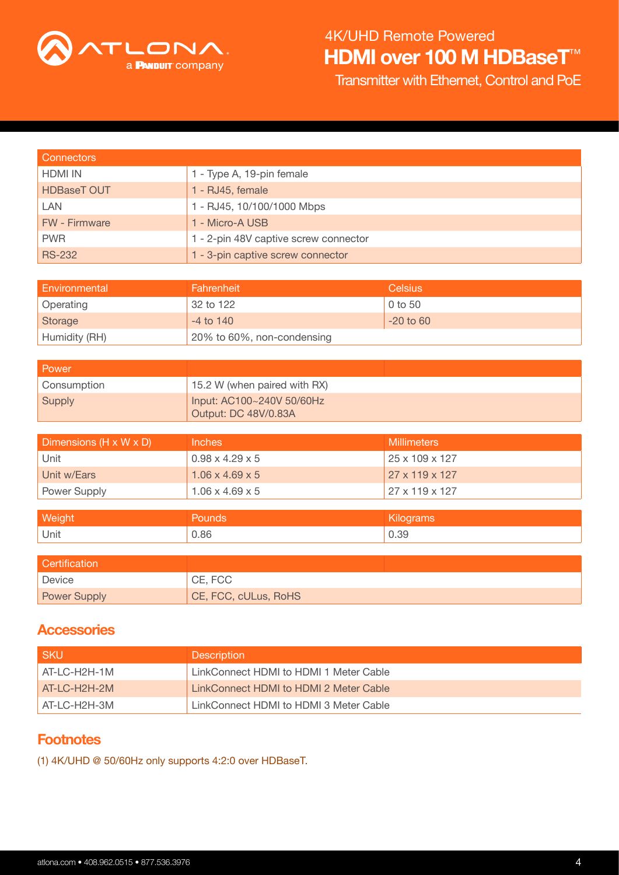

## HDMI over 100 M HDBaseT<sup>™</sup> 4K/UHD Remote Powered

Transmitter with Ethernet, Control and PoE

| <b>Connectors</b>    |                                       |
|----------------------|---------------------------------------|
| <b>HDMI IN</b>       | 1 - Type A, 19-pin female             |
| <b>HDBaseT OUT</b>   | 1 - RJ45, female                      |
| <b>LAN</b>           | 1 - RJ45, 10/100/1000 Mbps            |
| <b>FW</b> - Firmware | 1 - Micro-A USB                       |
| <b>PWR</b>           | 1 - 2-pin 48V captive screw connector |
| <b>RS-232</b>        | 1 - 3-pin captive screw connector     |

| Environmental    | Fahrenheit                 | <b>Celsius</b> |
|------------------|----------------------------|----------------|
| <b>Operating</b> | 32 to 122                  | $0$ to 50      |
| Storage          | $-4$ to $140$              | $-20$ to 60    |
| Humidity (RH)    | 20% to 60%, non-condensing |                |

| Power       |                                                   |
|-------------|---------------------------------------------------|
| Consumption | 15.2 W (when paired with RX)                      |
| Supply      | Input: AC100~240V 50/60Hz<br>Output: DC 48V/0.83A |

| Dimensions (H x W x D) | Inches                      | <b>Millimeters</b>         |
|------------------------|-----------------------------|----------------------------|
| Unit                   | $0.98 \times 4.29 \times 5$ | $25 \times 109 \times 127$ |
| Unit w/Ears            | $1.06 \times 4.69 \times 5$ | $27 \times 119 \times 127$ |
| Power Supply           | $1.06 \times 4.69 \times 5$ | $27 \times 119 \times 127$ |

| Weight | <b>Pounds</b> | <b>Kilograms</b> |
|--------|---------------|------------------|
| Unit   | 0.86          | , 39             |

| <b>Certification</b> |                      |
|----------------------|----------------------|
| Device               | CE, FCC              |
| <b>Power Supply</b>  | CE, FCC, cULus, RoHS |

### **Accessories**

| <b>SKU</b>    | <b>Description</b>                     |
|---------------|----------------------------------------|
| AT-LC-H2H-1M  | LinkConnect HDMI to HDMI 1 Meter Cable |
| AT-LC-H2H-2M  | LinkConnect HDMI to HDMI 2 Meter Cable |
| LAT-LC-H2H-3M | LinkConnect HDMI to HDMI 3 Meter Cable |

### **Footnotes**

<span id="page-3-0"></span>(1) 4K/UHD @ 50/60Hz only supports 4:2:0 over HDBaseT.